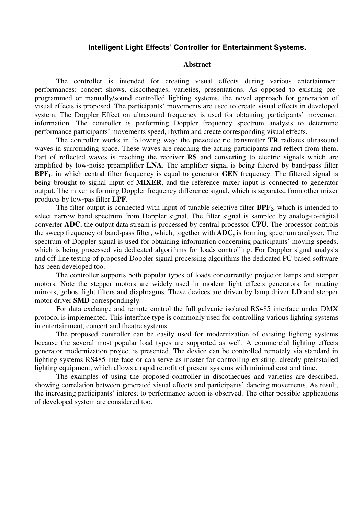## **Intelligent Light Effects' Controller for Entertainment Systems.**

## **Abstract**

The controller is intended for creating visual effects during various entertainment performances: concert shows, discotheques, varieties, presentations. As opposed to existing preprogrammed or manually/sound controlled lighting systems, the novel approach for generation of visual effects is proposed. The participants' movements are used to create visual effects in developed system. The Doppler Effect on ultrasound frequency is used for obtaining participants' movement information. The controller is performing Doppler frequency spectrum analysis to determine performance participants' movements speed, rhythm and create corresponding visual effects.

The controller works in following way: the piezoelectric transmitter **TR** radiates ultrasound waves in surrounding space. These waves are reaching the acting participants and reflect from them. Part of reflected waves is reaching the receiver **RS** and converting to electric signals which are amplified by low-noise preamplifier **LNA**. The amplifier signal is being filtered by band-pass filter **BPF1**, in which central filter frequency is equal to generator **GEN** frequency. The filtered signal is being brought to signal input of **MIXER**, and the reference mixer input is connected to generator output. The mixer is forming Doppler frequency difference signal, which is separated from other mixer products by low-pas filter **LPF**.

The filter output is connected with input of tunable selective filter **BPF2**, which is intended to select narrow band spectrum from Doppler signal. The filter signal is sampled by analog-to-digital converter **ADC**, the output data stream is processed by central processor **CPU**. The processor controls the sweep frequency of band-pass filter, which, together with **ADC,** is forming spectrum analyzer. The spectrum of Doppler signal is used for obtaining information concerning participants' moving speeds, which is being processed via dedicated algorithms for loads controlling. For Doppler signal analysis and off-line testing of proposed Doppler signal processing algorithms the dedicated PC-based software has been developed too.

The controller supports both popular types of loads concurrently: projector lamps and stepper motors. Note the stepper motors are widely used in modern light effects generators for rotating mirrors, gobos, light filters and diaphragms. These devices are driven by lamp driver **LD** and stepper motor driver **SMD** correspondingly.

For data exchange and remote control the full galvanic isolated RS485 interface under DMX protocol is implemented. This interface type is commonly used for controlling various lighting systems in entertainment, concert and theatre systems.

The proposed controller can be easily used for modernization of existing lighting systems because the several most popular load types are supported as well. A commercial lighting effects generator modernization project is presented. The device can be controlled remotely via standard in lighting systems RS485 interface or can serve as master for controlling existing, already preinstalled lighting equipment, which allows a rapid retrofit of present systems with minimal cost and time.

The examples of using the proposed controller in discotheques and varieties are described, showing correlation between generated visual effects and participants' dancing movements. As result, the increasing participants' interest to performance action is observed. The other possible applications of developed system are considered too.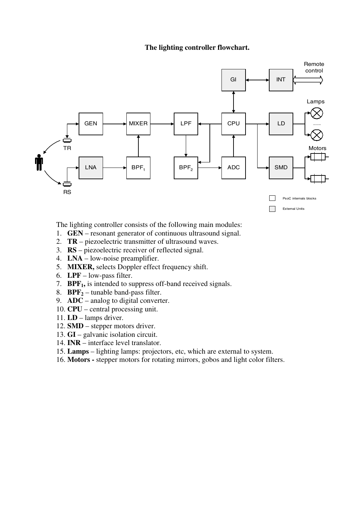## **The lighting controller flowchart.**



The lighting controller consists of the following main modules:

- 1. **GEN**  resonant generator of continuous ultrasound signal.
- 2. **TR** piezoelectric transmitter of ultrasound waves.
- 3. **RS** piezoelectric receiver of reflected signal.
- 4. **LNA**  low-noise preamplifier.
- 5. **MIXER,** selects Doppler effect frequency shift.
- 6. **LPF**  low-pass filter.
- 7. **BPF<sub>1</sub>**, is intended to suppress off-band received signals.
- 8. **BPF2** tunable band-pass filter.
- 9. **ADC** analog to digital converter.
- 10. **CPU** central processing unit.
- 11. **LD**  lamps driver.
- 12. **SMD**  stepper motors driver.
- 13. **GI**  galvanic isolation circuit.
- 14. **INR**  interface level translator.
- 15. **Lamps** lighting lamps: projectors, etc, which are external to system.
- 16. **Motors** stepper motors for rotating mirrors, gobos and light color filters.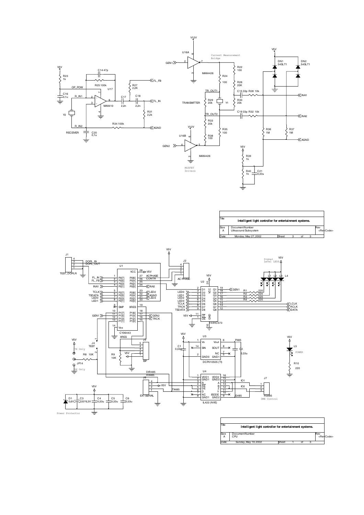

| Title<br>Intelligent light controller for entertainment systems. |                      |       |  |  |  |     |                     |  |  |  |
|------------------------------------------------------------------|----------------------|-------|--|--|--|-----|---------------------|--|--|--|
| <b>Size</b>                                                      | DocumentNumber       |       |  |  |  | Rev |                     |  |  |  |
| $\overline{A}$                                                   | Ultrasound Subsystem |       |  |  |  |     | <revcode></revcode> |  |  |  |
| Date:                                                            | Monday, May 27, 2002 | Sheet |  |  |  |     |                     |  |  |  |



| Title<br>Intelligent light controller for entertainment systems. |                       |       |  |  |  |     |                     |  |  |
|------------------------------------------------------------------|-----------------------|-------|--|--|--|-----|---------------------|--|--|
| Size<br>А                                                        | DocumentNumber<br>CPU |       |  |  |  | Rev | <revcode></revcode> |  |  |
| Date:                                                            | Sunday, May 19, 2002  | Sheet |  |  |  |     |                     |  |  |